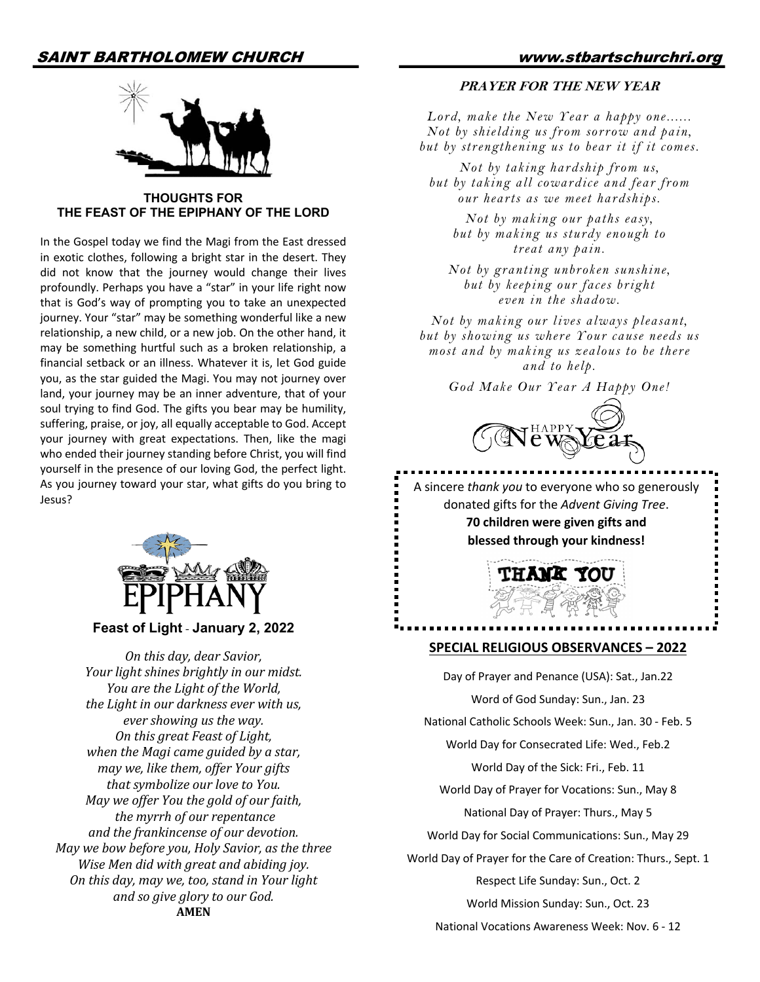

**THOUGHTS FOR THE FEAST OF THE EPIPHANY OF THE LORD**

In the Gospel today we find the Magi from the East dressed in exotic clothes, following a bright star in the desert. They did not know that the journey would change their lives profoundly. Perhaps you have a "star" in your life right now that is God's way of prompting you to take an unexpected journey. Your "star" may be something wonderful like a new relationship, a new child, or a new job. On the other hand, it may be something hurtful such as a broken relationship, a financial setback or an illness. Whatever it is, let God guide you, as the star guided the Magi. You may not journey over land, your journey may be an inner adventure, that of your soul trying to find God. The gifts you bear may be humility, suffering, praise, or joy, all equally acceptable to God. Accept your journey with great expectations. Then, like the magi who ended their journey standing before Christ, you will find yourself in the presence of our loving God, the perfect light. As you journey toward your star, what gifts do you bring to Jesus?



#### **Feast of Light** - **January 2, 2022**

*On this day, dear Savior, Your light shines brightly in our midst. You are the Light of the World, the Light in our darkness ever with us, ever showing us the way. On this great Feast of Light, when the Magi came guided by a star, may* we, like them, offer Your gifts that symbolize our love to You. *May we offer You the gold of our faith, the myrrh of our repentance and the frankincense of our devotion. May we bow before you, Holy Savior, as the three Wise Men did with great and abiding joy. On this day, may we, too, stand in Your light and so give glory to our God.* **AMEN**

#### **PRAYER FOR THE NEW YEAR**

*Lord, make the New Year a happy one...... Not by shielding us from sorrow and pain, but by strengthening us to bear it if it comes.* 

*Not by taking hardship from us, but by taking all cowardice and fear from our hearts as we meet hardships.* 

*Not by making our paths easy, but by making us sturdy enough to treat any pain.* 

*Not by granting unbroken sunshine, but by keeping our faces bright even in the shadow.* 

*Not by making our lives always pleasant, but by showing us where Your cause needs us most and by making us zealous to be there and to help.* 

*God Make Our Year A Happy One!*



A sincere *thank you* to everyone who so generously donated gifts for the *Advent Giving Tree*. **70 children were given gifts and blessed through your kindness!** 



#### **SPECIAL RELIGIOUS OBSERVANCES – 2022**

Day of Prayer and Penance (USA): Sat., Jan.22 Word of God Sunday: Sun., Jan. 23 National Catholic Schools Week: Sun., Jan. 30 - Feb. 5 World Day for Consecrated Life: Wed., Feb.2 World Day of the Sick: Fri., Feb. 11 World Day of Prayer for Vocations: Sun., May 8 National Day of Prayer: Thurs., May 5 World Day for Social Communications: Sun., May 29 World Day of Prayer for the Care of Creation: Thurs., Sept. 1 Respect Life Sunday: Sun., Oct. 2 World Mission Sunday: Sun., Oct. 23 National Vocations Awareness Week: Nov. 6 - 12